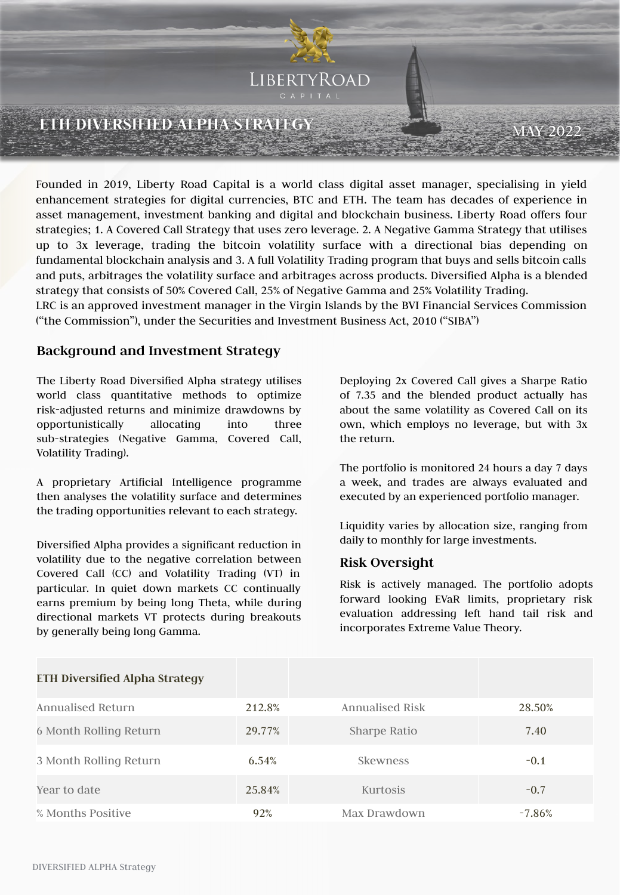

Founded in 2019, Liberty Road Capital is a world class digital asset manager, specialising in yield enhancement strategies for digital currencies, BTC and ETH. The team has decades of experience in asset management, investment banking and digital and blockchain business. Liberty Road offers four strategies; 1. A Covered Call Strategy that uses zero leverage. 2. A Negative Gamma Strategy that utilises up to 3x leverage, trading the bitcoin volatility surface with a directional bias depending on fundamental blockchain analysis and 3. A full Volatility Trading program that buys and sells bitcoin calls and puts, arbitrages the volatility surface and arbitrages across products. Diversified Alpha is a blended strategy that consists of 50% Covered Call, 25% of Negative Gamma and 25% Volatility Trading.

LRC is an approved investment manager in the Virgin Islands by the BVI Financial Services Commission ("the Commission"), under the Securities and Investment Business Act, 2010 ("SIBA")

### **Background and Investment Strategy**

The Liberty Road Diversified Alpha strategy utilises world class quantitative methods to optimize risk-adjusted returns and minimize drawdowns by opportunistically allocating into three sub-strategies (Negative Gamma, Covered Call, Volatility Trading).

A proprietary Artificial Intelligence programme then analyses the volatility surface and determines the trading opportunities relevant to each strategy.

Diversified Alpha provides a significant reduction in volatility due to the negative correlation between Covered Call (CC) and Volatility Trading (VT) in particular. In quiet down markets CC continually earns premium by being long Theta, while during directional markets VT protects during breakouts by generally being long Gamma.

Deploying 2x Covered Call gives a Sharpe Ratio of 7.35 and the blended product actually has about the same volatility as Covered Call on its own, which employs no leverage, but with 3x the return.

The portfolio is monitored 24 hours a day 7 days a week, and trades are always evaluated and executed by an experienced portfolio manager.

Liquidity varies by allocation size, ranging from daily to monthly for large investments.

### **Risk Oversight**

Risk is actively managed. The portfolio adopts forward looking EVaR limits, proprietary risk evaluation addressing left hand tail risk and incorporates Extreme Value Theory.

| <b>ETH Diversified Alpha Strategy</b> |        |                 |          |
|---------------------------------------|--------|-----------------|----------|
| Annualised Return                     | 212.8% | Annualised Risk | 28.50%   |
| 6 Month Rolling Return                | 29.77% | Sharpe Ratio    | 7.40     |
| 3 Month Rolling Return                | 6.54%  | <b>Skewness</b> | $-0.1$   |
| Year to date                          | 25.84% | Kurtosis        | $-0.7$   |
| % Months Positive                     | 92%    | Max Drawdown    | $-7.86%$ |